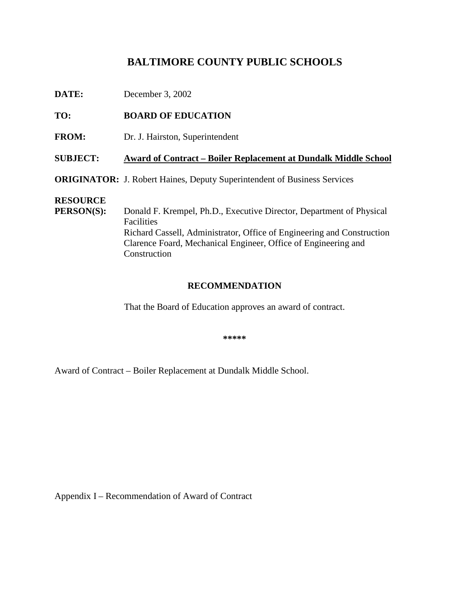# **BALTIMORECOUNTYPUBLICSCHOOLS**

| DATE:                                | December 3, 2002                                                                                                                                                                                                                         |  |
|--------------------------------------|------------------------------------------------------------------------------------------------------------------------------------------------------------------------------------------------------------------------------------------|--|
| TO:                                  | <b>BOARDOFEDUCATION</b>                                                                                                                                                                                                                  |  |
| <b>FROM:</b>                         | Dr.J. Hairston, Superintendent                                                                                                                                                                                                           |  |
| <b>SUBJECT:</b>                      | AwardofContract -BoilerReplacementatDundalkMiddleSchool                                                                                                                                                                                  |  |
|                                      | <b>ORIGINATOR:</b> J.RobertHaines, DeputySuperintendent<br>ofBusinessServices                                                                                                                                                            |  |
| <b>RESOURCE</b><br><b>PERSON(S):</b> | DonaldF.Krempel,Ph.D.,ExecutiveDirector,DepartmentofPhysical<br>Facilities<br>RichardCassell, Administrator, Office of Engineering and Construction<br>ClarenceFoard, Mechanical Engineer, Office of Engineering an<br>d<br>Construction |  |

### **RECOMMENDATION**

That the Board of Education approves an award of contract.

**\*\*\*\*\***

Award of Contract – Boiler Replacement at Dundalk Middle School.

AppendixI -Recommendation of Award of Contract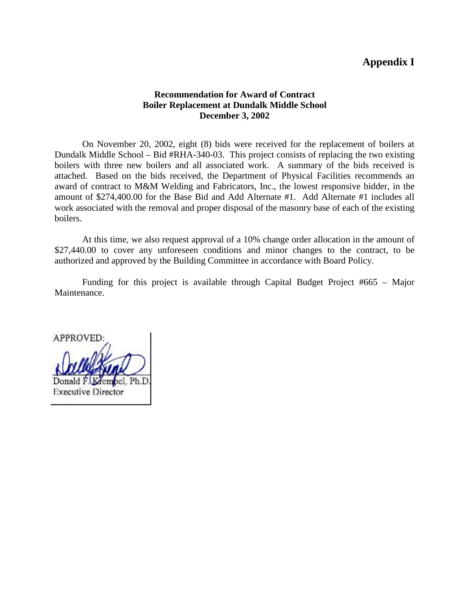## **AppendixI**

#### **Recommendation for Award of Contract Boiler Replacement at Dundalk Middle School December 3, 2002**

On November 20, 2002, eight (8) bids were received for the replacement of boilers at Dundalk Middle School – Bid#RHA -340-03. This project consists of replacing the two existing boilers with three new boilers and all associated work. A summary of the bids received is attached. Based on the bids received, the Department of Physical Facilities recommends an award of contract to M&M Welding and Fabricators, Inc., t he lowest responsive bidder, in the amount of \$274,400.00 for the Base Bid and Add Alternate #1. Add Alternate #1 includes all work associated with the removal and proper disposal of the masonry base of each of the existing boilers.

At this time, we a lso request approval of a 10% change order allocation in the amount of \$27,440.00 to cover any unforeseen conditions and minor changes to the contract, to be authorized and approved by the Building Committee in accordance with Board Policy.

Funding for this project is available through Capital Budget Project #665 – Major Maintenance.

**APPROVED** Donald F. **Executive Director**